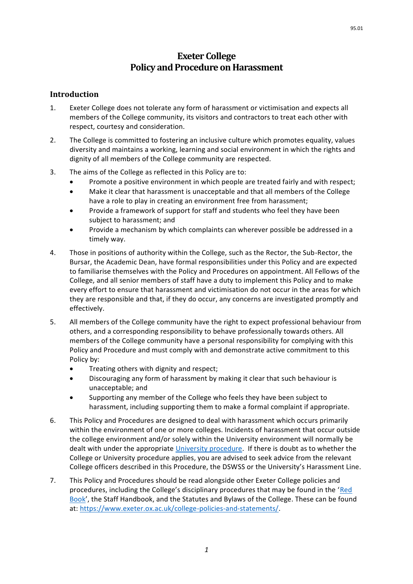# **Exeter College Policy and Procedure on Harassment**

## **Introduction**

- 1. Exeter College does not tolerate any form of harassment or victimisation and expects all members of the College community, its visitors and contractors to treat each other with respect, courtesy and consideration.
- 2. The College is committed to fostering an inclusive culture which promotes equality, values diversity and maintains a working, learning and social environment in which the rights and dignity of all members of the College community are respected.
- 3. The aims of the College as reflected in this Policy are to:
	- Promote a positive environment in which people are treated fairly and with respect;
	- Make it clear that harassment is unacceptable and that all members of the College have a role to play in creating an environment free from harassment;
	- Provide a framework of support for staff and students who feel they have been subject to harassment; and
	- Provide a mechanism by which complaints can wherever possible be addressed in a timely way.
- 4. Those in positions of authority within the College, such as the Rector, the Sub-Rector, the Bursar, the Academic Dean, have formal responsibilities under this Policy and are expected to familiarise themselves with the Policy and Procedures on appointment. All Fellows of the College, and all senior members of staff have a duty to implement this Policy and to make every effort to ensure that harassment and victimisation do not occur in the areas for which they are responsible and that, if they do occur, any concerns are investigated promptly and effectively.
- 5. All members of the College community have the right to expect professional behaviour from others, and a corresponding responsibility to behave professionally towards others. All members of the College community have a personal responsibility for complying with this Policy and Procedure and must comply with and demonstrate active commitment to this Policy by:
	- Treating others with dignity and respect;
	- Discouraging any form of harassment by making it clear that such behaviour is unacceptable; and
	- Supporting any member of the College who feels they have been subject to harassment, including supporting them to make a formal complaint if appropriate.
- 6. This Policy and Procedures are designed to deal with harassment which occurs primarily within the environment of one or more colleges. Incidents of harassment that occur outside the college environment and/or solely within the University environment will normally be dealt with under the appropriate [University procedure.](http://www.admin.ox.ac.uk/eop/harassmentadvice/policyandprocedure/) If there is doubt as to whether the College or University procedure applies, you are advised to seek advice from the relevant College officers described in this Procedure, the DSWSS or the University's Harassment Line.
- 7. This Policy and Procedures should be read alongside other Exeter College policies and procedures, including the College's disciplinary procedures that may be found in the '[Red](https://www.exeter.ox.ac.uk/students/the-red-book-and-the-green-guide-2/)  [Book](https://www.exeter.ox.ac.uk/students/the-red-book-and-the-green-guide-2/)', the Staff Handbook, and the Statutes and Bylaws of the College. These can be found at: [https://www.exeter.ox.ac.uk/college-policies-and-statements/.](https://www.exeter.ox.ac.uk/college-policies-and-statements/)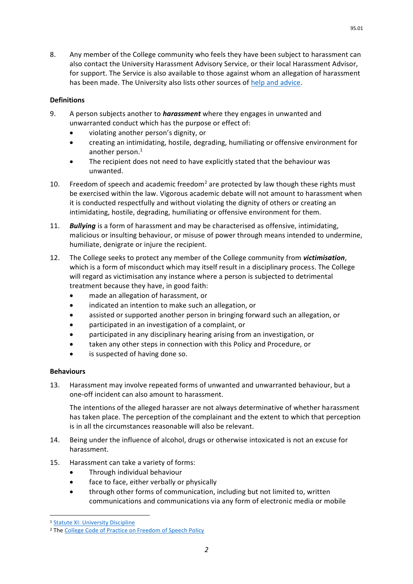8. Any member of the College community who feels they have been subject to harassment can also contact the University Harassment Advisory Service, or their local Harassment Advisor, for support. The Service is also available to those against whom an allegation of harassment has been made. The University also lists other sources of [help and advice.](https://edu.admin.ox.ac.uk/harassment-advice)

## **Definitions**

- 9. A person subjects another to *harassment* where they engages in unwanted and unwarranted conduct which has the purpose or effect of:
	- violating another person's dignity, or
	- creating an intimidating, hostile, degrading, humiliating or offensive environment for another person. 1
	- The recipient does not need to have explicitly stated that the behaviour was unwanted.
- 10. Freedom of speech and academic freedom<sup>2</sup> are protected by law though these rights must be exercised within the law. Vigorous academic debate will not amount to harassment when it is conducted respectfully and without violating the dignity of others or creating an intimidating, hostile, degrading, humiliating or offensive environment for them.
- 11. *Bullying* is a form of harassment and may be characterised as offensive, intimidating, malicious or insulting behaviour, or misuse of power through means intended to undermine, humiliate, denigrate or injure the recipient.
- 12. The College seeks to protect any member of the College community from *victimisation*, which is a form of misconduct which may itself result in a disciplinary process. The College will regard as victimisation any instance where a person is subjected to detrimental treatment because they have, in good faith:
	- made an allegation of harassment, or
	- indicated an intention to make such an allegation, or
	- assisted or supported another person in bringing forward such an allegation, or
	- participated in an investigation of a complaint, or
	- participated in any disciplinary hearing arising from an investigation, or
	- taken any other steps in connection with this Policy and Procedure, or
	- is suspected of having done so.

### **Behaviours**

13. Harassment may involve repeated forms of unwanted and unwarranted behaviour, but a one-off incident can also amount to harassment.

The intentions of the alleged harasser are not always determinative of whether harassment has taken place. The perception of the complainant and the extent to which that perception is in all the circumstances reasonable will also be relevant.

- 14. Being under the influence of alcohol, drugs or otherwise intoxicated is not an excuse for harassment.
- 15. Harassment can take a variety of forms:
	- Through individual behaviour
	- face to face, either verbally or physically
	- through other forms of communication, including but not limited to, written communications and communications via any form of electronic media or mobile

95.01

1

<sup>1</sup> [Statute XI: University Discipline](https://governance.admin.ox.ac.uk/legislation/statute-xi-university-discipline-0#:~:text=(1)%20A%20person%20or%20body,of%20those%20facilities%20or%20services.)

<sup>&</sup>lt;sup>2</sup> Th[e College Code of Practice on Freedom of Speech Policy](https://www.exeter.ox.ac.uk/policies/0100_Exeter_College_External_Speakers_Policy.pdf)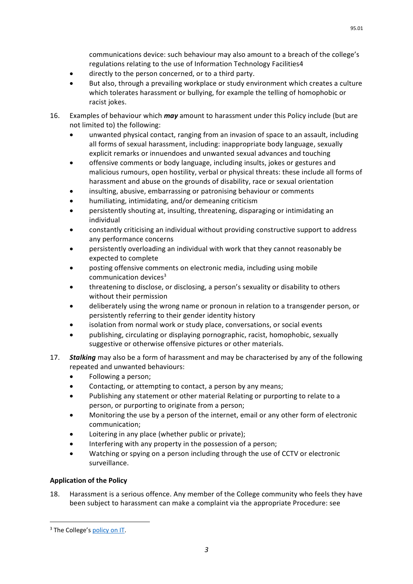communications device: such behaviour may also amount to a breach of the college's regulations relating to the use of Information Technology Facilities4

- directly to the person concerned, or to a third party.
- But also, through a prevailing workplace or study environment which creates a culture which tolerates harassment or bullying, for example the telling of homophobic or racist jokes.
- 16. Examples of behaviour which *may* amount to harassment under this Policy include (but are not limited to) the following:
	- unwanted physical contact, ranging from an invasion of space to an assault, including all forms of sexual harassment, including: inappropriate body language, sexually explicit remarks or innuendoes and unwanted sexual advances and touching
	- offensive comments or body language, including insults, jokes or gestures and malicious rumours, open hostility, verbal or physical threats: these include all forms of harassment and abuse on the grounds of disability, race or sexual orientation
	- insulting, abusive, embarrassing or patronising behaviour or comments
	- humiliating, intimidating, and/or demeaning criticism
	- persistently shouting at, insulting, threatening, disparaging or intimidating an individual
	- constantly criticising an individual without providing constructive support to address any performance concerns
	- persistently overloading an individual with work that they cannot reasonably be expected to complete
	- posting offensive comments on electronic media, including using mobile communication devices<sup>3</sup>
	- threatening to disclose, or disclosing, a person's sexuality or disability to others without their permission
	- deliberately using the wrong name or pronoun in relation to a transgender person, or persistently referring to their gender identity history
	- isolation from normal work or study place, conversations, or social events
	- publishing, circulating or displaying pornographic, racist, homophobic, sexually suggestive or otherwise offensive pictures or other materials.
- 17. *Stalking* may also be a form of harassment and may be characterised by any of the following repeated and unwanted behaviours:
	- Following a person;
	- Contacting, or attempting to contact, a person by any means;
	- Publishing any statement or other material Relating or purporting to relate to a person, or purporting to originate from a person;
	- Monitoring the use by a person of the internet, email or any other form of electronic communication;
	- Loitering in any place (whether public or private);
	- Interfering with any property in the possession of a person;
	- Watching or spying on a person including through the use of CCTV or electronic surveillance.

### **Application of the Policy**

18. Harassment is a serious offence. Any member of the College community who feels they have been subject to harassment can make a complaint via the appropriate Procedure: see

**.** 

<sup>&</sup>lt;sup>3</sup> The College's [policy on IT.](https://www.exeter.ox.ac.uk/college-policies-and-statements/)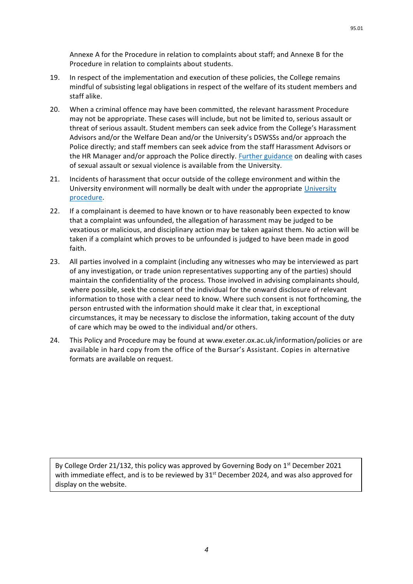- 19. In respect of the implementation and execution of these policies, the College remains mindful of subsisting legal obligations in respect of the welfare of its student members and staff alike.
- 20. When a criminal offence may have been committed, the relevant harassment Procedure may not be appropriate. These cases will include, but not be limited to, serious assault or threat of serious assault. Student members can seek advice from the College's Harassment Advisors and/or the Welfare Dean and/or the University's DSWSSs and/or approach the Police directly; and staff members can seek advice from the staff Harassment Advisors or the HR Manager and/or approach the Police directly. [Further guidance](https://www.ox.ac.uk/students/welfare/supportservice?wssl=1) on dealing with cases of sexual assault or sexual violence is available from the University.
- 21. Incidents of harassment that occur outside of the college environment and within the University environment will normally be dealt with under the appropriate [University](https://edu.admin.ox.ac.uk/university-policy-on-harassment)  [procedure.](https://edu.admin.ox.ac.uk/university-policy-on-harassment)
- 22. If a complainant is deemed to have known or to have reasonably been expected to know that a complaint was unfounded, the allegation of harassment may be judged to be vexatious or malicious, and disciplinary action may be taken against them. No action will be taken if a complaint which proves to be unfounded is judged to have been made in good faith.
- 23. All parties involved in a complaint (including any witnesses who may be interviewed as part of any investigation, or trade union representatives supporting any of the parties) should maintain the confidentiality of the process. Those involved in advising complainants should, where possible, seek the consent of the individual for the onward disclosure of relevant information to those with a clear need to know. Where such consent is not forthcoming, the person entrusted with the information should make it clear that, in exceptional circumstances, it may be necessary to disclose the information, taking account of the duty of care which may be owed to the individual and/or others.
- 24. This Policy and Procedure may be found at [www.exeter.ox.ac.uk/information/policies](http://www.exeter.ox.ac.uk/information/policies) or are available in hard copy from the office of the Bursar's Assistant. Copies in alternative formats are available on request.

By College Order 21/132, this policy was approved by Governing Body on 1<sup>st</sup> December 2021 with immediate effect, and is to be reviewed by  $31<sup>st</sup>$  December 2024, and was also approved for display on the website.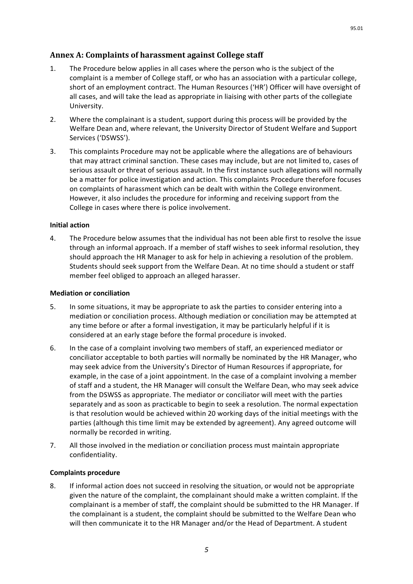# **Annex A: Complaints of harassment against College staff**

- 1. The Procedure below applies in all cases where the person who is the subject of the complaint is a member of College staff, or who has an association with a particular college, short of an employment contract. The Human Resources ('HR') Officer will have oversight of all cases, and will take the lead as appropriate in liaising with other parts of the collegiate University.
- 2. Where the complainant is a student, support during this process will be provided by the Welfare Dean and, where relevant, the University Director of Student Welfare and Support Services ('DSWSS').
- 3. This complaints Procedure may not be applicable where the allegations are of behaviours that may attract criminal sanction. These cases may include, but are not limited to, cases of serious assault or threat of serious assault. In the first instance such allegations will normally be a matter for police investigation and action. This complaints Procedure therefore focuses on complaints of harassment which can be dealt with within the College environment. However, it also includes the procedure for informing and receiving support from the College in cases where there is police involvement.

## **Initial action**

4. The Procedure below assumes that the individual has not been able first to resolve the issue through an informal approach. If a member of staff wishes to seek informal resolution, they should approach the HR Manager to ask for help in achieving a resolution of the problem. Students should seek support from the Welfare Dean. At no time should a student or staff member feel obliged to approach an alleged harasser.

### **Mediation or conciliation**

- 5. In some situations, it may be appropriate to ask the parties to consider entering into a mediation or conciliation process. Although mediation or conciliation may be attempted at any time before or after a formal investigation, it may be particularly helpful if it is considered at an early stage before the formal procedure is invoked.
- 6. In the case of a complaint involving two members of staff, an experienced mediator or conciliator acceptable to both parties will normally be nominated by the HR Manager, who may seek advice from the University's Director of Human Resources if appropriate, for example, in the case of a joint appointment. In the case of a complaint involving a member of staff and a student, the HR Manager will consult the Welfare Dean, who may seek advice from the DSWSS as appropriate. The mediator or conciliator will meet with the parties separately and as soon as practicable to begin to seek a resolution. The normal expectation is that resolution would be achieved within 20 working days of the initial meetings with the parties (although this time limit may be extended by agreement). Any agreed outcome will normally be recorded in writing.
- 7. All those involved in the mediation or conciliation process must maintain appropriate confidentiality.

### **Complaints procedure**

8. If informal action does not succeed in resolving the situation, or would not be appropriate given the nature of the complaint, the complainant should make a written complaint. If the complainant is a member of staff, the complaint should be submitted to the HR Manager. If the complainant is a student, the complaint should be submitted to the Welfare Dean who will then communicate it to the HR Manager and/or the Head of Department. A student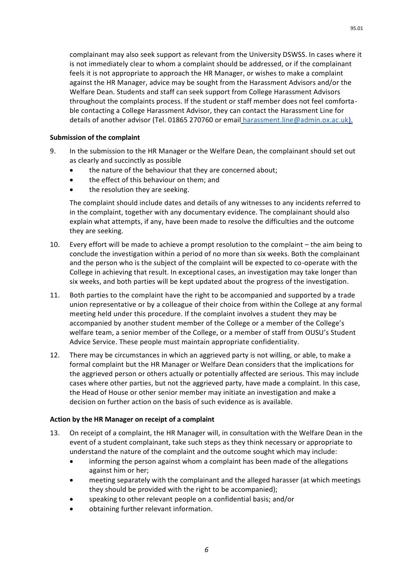complainant may also seek support as relevant from the University DSWSS. In cases where it is not immediately clear to whom a complaint should be addressed, or if the complainant feels it is not appropriate to approach the HR Manager, or wishes to make a complaint against the HR Manager, advice may be sought from the Harassment Advisors and/or the Welfare Dean. Students and staff can seek support from College Harassment Advisors throughout the complaints process. If the student or staff member does not feel comfortable contacting a College Harassment Advisor, they can contact the Harassment Line for details of another advisor (Tel. 01865 270760 or email [harassment.line@admin.ox.ac.uk\)](mailto:harassment.line@admin.ox.ac.uk).

### **Submission of the complaint**

- 9. In the submission to the HR Manager or the Welfare Dean, the complainant should set out as clearly and succinctly as possible
	- the nature of the behaviour that they are concerned about;
	- the effect of this behaviour on them; and
	- the resolution they are seeking.

The complaint should include dates and details of any witnesses to any incidents referred to in the complaint, together with any documentary evidence. The complainant should also explain what attempts, if any, have been made to resolve the difficulties and the outcome they are seeking.

- 10. Every effort will be made to achieve a prompt resolution to the complaint the aim being to conclude the investigation within a period of no more than six weeks. Both the complainant and the person who is the subject of the complaint will be expected to co-operate with the College in achieving that result. In exceptional cases, an investigation may take longer than six weeks, and both parties will be kept updated about the progress of the investigation.
- 11. Both parties to the complaint have the right to be accompanied and supported by a trade union representative or by a colleague of their choice from within the College at any formal meeting held under this procedure. If the complaint involves a student they may be accompanied by another student member of the College or a member of the College's welfare team, a senior member of the College, or a member of staff from OUSU's Student Advice Service. These people must maintain appropriate confidentiality.
- 12. There may be circumstances in which an aggrieved party is not willing, or able, to make a formal complaint but the HR Manager or Welfare Dean considers that the implications for the aggrieved person or others actually or potentially affected are serious. This may include cases where other parties, but not the aggrieved party, have made a complaint. In this case, the Head of House or other senior member may initiate an investigation and make a decision on further action on the basis of such evidence as is available.

#### **Action by the HR Manager on receipt of a complaint**

- 13. On receipt of a complaint, the HR Manager will, in consultation with the Welfare Dean in the event of a student complainant, take such steps as they think necessary or appropriate to understand the nature of the complaint and the outcome sought which may include:
	- informing the person against whom a complaint has been made of the allegations against him or her;
	- meeting separately with the complainant and the alleged harasser (at which meetings they should be provided with the right to be accompanied);
	- speaking to other relevant people on a confidential basis; and/or
	- obtaining further relevant information.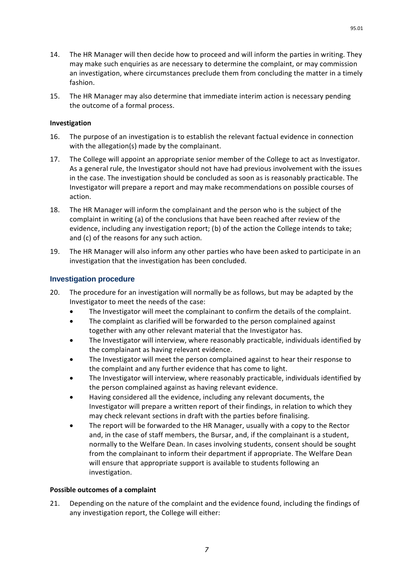- 14. The HR Manager will then decide how to proceed and will inform the parties in writing. They may make such enquiries as are necessary to determine the complaint, or may commission an investigation, where circumstances preclude them from concluding the matter in a timely fashion.
- 15. The HR Manager may also determine that immediate interim action is necessary pending the outcome of a formal process.

#### **Investigation**

- 16. The purpose of an investigation is to establish the relevant factual evidence in connection with the allegation(s) made by the complainant.
- 17. The College will appoint an appropriate senior member of the College to act as Investigator. As a general rule, the Investigator should not have had previous involvement with the issues in the case. The investigation should be concluded as soon as is reasonably practicable. The Investigator will prepare a report and may make recommendations on possible courses of action.
- 18. The HR Manager will inform the complainant and the person who is the subject of the complaint in writing (a) of the conclusions that have been reached after review of the evidence, including any investigation report; (b) of the action the College intends to take; and (c) of the reasons for any such action.
- 19. The HR Manager will also inform any other parties who have been asked to participate in an investigation that the investigation has been concluded.

### **Investigation procedure**

- 20. The procedure for an investigation will normally be as follows, but may be adapted by the Investigator to meet the needs of the case:
	- The Investigator will meet the complainant to confirm the details of the complaint.
	- The complaint as clarified will be forwarded to the person complained against together with any other relevant material that the Investigator has.
	- The Investigator will interview, where reasonably practicable, individuals identified by the complainant as having relevant evidence.
	- The Investigator will meet the person complained against to hear their response to the complaint and any further evidence that has come to light.
	- The Investigator will interview, where reasonably practicable, individuals identified by the person complained against as having relevant evidence.
	- Having considered all the evidence, including any relevant documents, the Investigator will prepare a written report of their findings, in relation to which they may check relevant sections in draft with the parties before finalising.
	- The report will be forwarded to the HR Manager, usually with a copy to the Rector and, in the case of staff members, the Bursar, and, if the complainant is a student, normally to the Welfare Dean. In cases involving students, consent should be sought from the complainant to inform their department if appropriate. The Welfare Dean will ensure that appropriate support is available to students following an investigation.

#### **Possible outcomes of a complaint**

21. Depending on the nature of the complaint and the evidence found, including the findings of any investigation report, the College will either: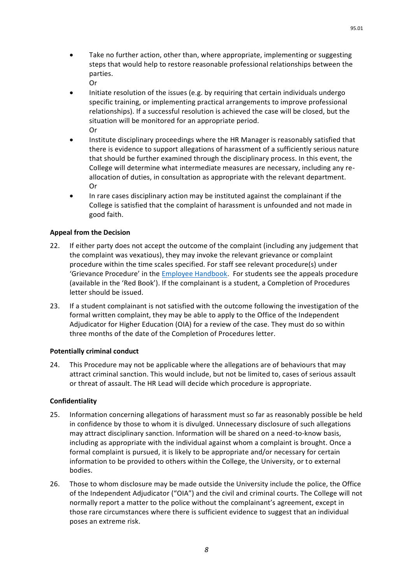- Take no further action, other than, where appropriate, implementing or suggesting steps that would help to restore reasonable professional relationships between the parties. Or
- Initiate resolution of the issues (e.g. by requiring that certain individuals undergo specific training, or implementing practical arrangements to improve professional relationships). If a successful resolution is achieved the case will be closed, but the situation will be monitored for an appropriate period. Or
- Institute disciplinary proceedings where the HR Manager is reasonably satisfied that there is evidence to support allegations of harassment of a sufficiently serious nature that should be further examined through the disciplinary process. In this event, the College will determine what intermediate measures are necessary, including any reallocation of duties, in consultation as appropriate with the relevant department. Or
- In rare cases disciplinary action may be instituted against the complainant if the College is satisfied that the complaint of harassment is unfounded and not made in good faith.

### **Appeal from the Decision**

- 22. If either party does not accept the outcome of the complaint (including any judgement that the complaint was vexatious), they may invoke the relevant grievance or complaint procedure within the time scales specified. For staff see relevant procedure(s) under 'Grievance Procedure' in the [Employee Handbook.](https://www.exeter.ox.ac.uk/policies/0202_Employee_Handbook.pdf) For students see the appeals procedure (available in the 'Red Book'). If the complainant is a student, a Completion of Procedures letter should be issued.
- 23. If a student complainant is not satisfied with the outcome following the investigation of the formal written complaint, they may be able to apply to the Office of the Independent Adjudicator for Higher Education (OIA) for a review of the case. They must do so within three months of the date of the Completion of Procedures letter.

#### **Potentially criminal conduct**

24. This Procedure may not be applicable where the allegations are of behaviours that may attract criminal sanction. This would include, but not be limited to, cases of serious assault or threat of assault. The HR Lead will decide which procedure is appropriate.

#### **Confidentiality**

- 25. Information concerning allegations of harassment must so far as reasonably possible be held in confidence by those to whom it is divulged. Unnecessary disclosure of such allegations may attract disciplinary sanction. Information will be shared on a need-to-know basis, including as appropriate with the individual against whom a complaint is brought. Once a formal complaint is pursued, it is likely to be appropriate and/or necessary for certain information to be provided to others within the College, the University, or to external bodies.
- 26. Those to whom disclosure may be made outside the University include the police, the Office of the Independent Adjudicator ("OIA") and the civil and criminal courts. The College will not normally report a matter to the police without the complainant's agreement, except in those rare circumstances where there is sufficient evidence to suggest that an individual poses an extreme risk.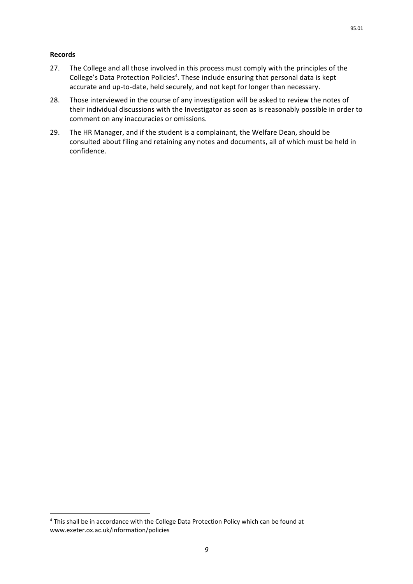#### **Records**

 $\overline{a}$ 

- 27. The College and all those involved in this process must comply with the principles of the College's Data Protection Policies<sup>4</sup>. These include ensuring that personal data is kept accurate and up-to-date, held securely, and not kept for longer than necessary.
- 28. Those interviewed in the course of any investigation will be asked to review the notes of their individual discussions with the Investigator as soon as is reasonably possible in order to comment on any inaccuracies or omissions.
- 29. The HR Manager, and if the student is a complainant, the Welfare Dean, should be consulted about filing and retaining any notes and documents, all of which must be held in confidence.

<sup>4</sup> This shall be in accordance with the College Data Protection Policy which can be found at [www.exeter.ox.ac.uk/information/policies](http://www.exeter.ox.ac.uk/information/policies)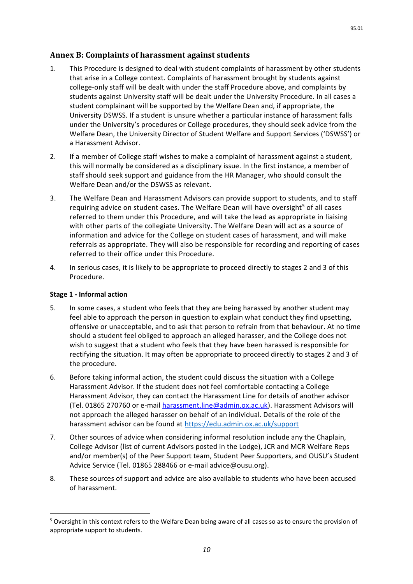# **Annex B: Complaints of harassment against students**

- 1. This Procedure is designed to deal with student complaints of harassment by other students that arise in a College context. Complaints of harassment brought by students against college-only staff will be dealt with under the staff Procedure above, and complaints by students against University staff will be dealt under the University Procedure. In all cases a student complainant will be supported by the Welfare Dean and, if appropriate, the University DSWSS. If a student is unsure whether a particular instance of harassment falls under the University's procedures or College procedures, they should seek advice from the Welfare Dean, the University Director of Student Welfare and Support Services ('DSWSS') or a Harassment Advisor.
- 2. If a member of College staff wishes to make a complaint of harassment against a student, this will normally be considered as a disciplinary issue. In the first instance, a member of staff should seek support and guidance from the HR Manager, who should consult the Welfare Dean and/or the DSWSS as relevant.
- 3. The Welfare Dean and Harassment Advisors can provide support to students, and to staff requiring advice on student cases. The Welfare Dean will have oversight<sup>5</sup> of all cases referred to them under this Procedure, and will take the lead as appropriate in liaising with other parts of the collegiate University. The Welfare Dean will act as a source of information and advice for the College on student cases of harassment, and will make referrals as appropriate. They will also be responsible for recording and reporting of cases referred to their office under this Procedure.
- 4. In serious cases, it is likely to be appropriate to proceed directly to stages 2 and 3 of this Procedure.

## **Stage 1 - Informal action**

 $\overline{a}$ 

- 5. In some cases, a student who feels that they are being harassed by another student may feel able to approach the person in question to explain what conduct they find upsetting, offensive or unacceptable, and to ask that person to refrain from that behaviour. At no time should a student feel obliged to approach an alleged harasser, and the College does not wish to suggest that a student who feels that they have been harassed is responsible for rectifying the situation. It may often be appropriate to proceed directly to stages 2 and 3 of the procedure.
- 6. Before taking informal action, the student could discuss the situation with a College Harassment Advisor. If the student does not feel comfortable contacting a College Harassment Advisor, they can contact the Harassment Line for details of another advisor (Tel. 01865 270760 or e-mail [harassment.line@admin.ox.ac.uk\)](mailto:harassment.line@admin.ox.ac.uk). Harassment Advisors will not approach the alleged harasser on behalf of an individual. Details of the role of the harassment advisor can be found at<https://edu.admin.ox.ac.uk/support>
- 7. Other sources of advice when considering informal resolution include any the Chaplain, College Advisor (list of current Advisors posted in the Lodge), JCR and MCR Welfare Reps and/or member(s) of the Peer Support team, Student Peer Supporters, and OUSU's Student Advice Service (Tel. 01865 288466 or e-mail [advice@ousu.org\)](mailto:advice@ousu.org).
- 8. These sources of support and advice are also available to students who have been accused of harassment.

<sup>5</sup> Oversight in this context refers to the Welfare Dean being aware of all cases so as to ensure the provision of appropriate support to students.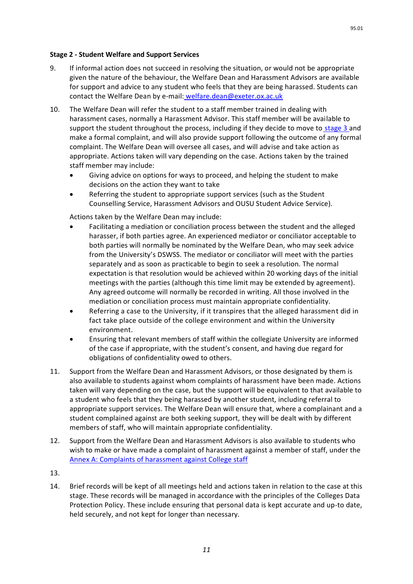### **Stage 2 - Student Welfare and Support Services**

- 9. If informal action does not succeed in resolving the situation, or would not be appropriate given the nature of the behaviour, the Welfare Dean and Harassment Advisors are available for support and advice to any student who feels that they are being harassed. Students can contact the Welfare Dean by e-mail: [welfare.dean@exeter.ox.ac.uk](mailto:welfare.dean@exeter.ox.ac.uk)
- 10. The Welfare Dean will refer the student to a staff member trained in dealing with harassment cases, normally a Harassment Advisor. This staff member will be available to support the student throughout the process, including if they decide to move to stage 3 and make a formal complaint, and will also provide support following the outcome of any formal complaint. The Welfare Dean will oversee all cases, and will advise and take action as appropriate. Actions taken will vary depending on the case. Actions taken by the trained staff member may include:
	- Giving advice on options for ways to proceed, and helping the student to make decisions on the action they want to take
	- Referring the student to appropriate support services (such as the Student Counselling Service, Harassment Advisors and OUSU Student Advice Service).

Actions taken by the Welfare Dean may include:

- Facilitating a mediation or conciliation process between the student and the alleged harasser, if both parties agree. An experienced mediator or conciliator acceptable to both parties will normally be nominated by the Welfare Dean, who may seek advice from the University's DSWSS. The mediator or conciliator will meet with the parties separately and as soon as practicable to begin to seek a resolution. The normal expectation is that resolution would be achieved within 20 working days of the initial meetings with the parties (although this time limit may be extended by agreement). Any agreed outcome will normally be recorded in writing. All those involved in the mediation or conciliation process must maintain appropriate confidentiality.
- Referring a case to the University, if it transpires that the alleged harassment did in fact take place outside of the college environment and within the University environment.
- Ensuring that relevant members of staff within the collegiate University are informed of the case if appropriate, with the student's consent, and having due regard for obligations of confidentiality owed to others.
- 11. Support from the Welfare Dean and Harassment Advisors, or those designated by them is also available to students against whom complaints of harassment have been made. Actions taken will vary depending on the case, but the support will be equivalent to that available to a student who feels that they being harassed by another student, including referral to appropriate support services. The Welfare Dean will ensure that, where a complainant and a student complained against are both seeking support, they will be dealt with by different members of staff, who will maintain appropriate confidentiality.
- 12. Support from the Welfare Dean and Harassment Advisors is also available to students who wish to make or have made a complaint of harassment against a member of staff, under th[e](http://www.admin.ox.ac.uk/eop/harassmentadvice/policyandprocedure/complaintsofharassmentagainstuniversitystaff/) [Annex A: Complaints of harassment against College staff](http://www.admin.ox.ac.uk/eop/harassmentadvice/policyandprocedure/complaintsofharassmentagainstuniversitystaff/)
- 13.
- 14. Brief records will be kept of all meetings held and actions taken in relation to the case at this stage. These records will be managed in accordance with the principles of the Colleges Data Protection Policy. These include ensuring that personal data is kept accurate and up-to date, held securely, and not kept for longer than necessary.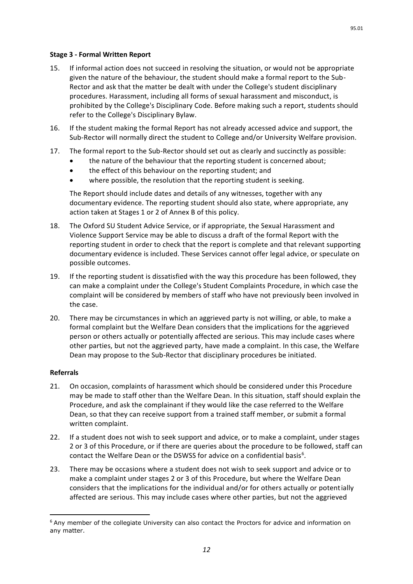## **Stage 3 - Formal Written Report**

- 15. If informal action does not succeed in resolving the situation, or would not be appropriate given the nature of the behaviour, the student should make a formal report to the Sub-Rector and ask that the matter be dealt with under the College's student disciplinary procedures. Harassment, including all forms of sexual harassment and misconduct, is prohibited by the College's Disciplinary Code. Before making such a report, students should refer to the College's Disciplinary Bylaw.
- 16. If the student making the formal Report has not already accessed advice and support, the Sub-Rector will normally direct the student to College and/or University Welfare provision.
- 17. The formal report to the Sub-Rector should set out as clearly and succinctly as possible:
	- the nature of the behaviour that the reporting student is concerned about;
	- the effect of this behaviour on the reporting student; and
	- where possible, the resolution that the reporting student is seeking.

The Report should include dates and details of any witnesses, together with any documentary evidence. The reporting student should also state, where appropriate, any action taken at Stages 1 or 2 of Annex B of this policy.

- 18. The Oxford SU Student Advice Service, or if appropriate, the Sexual Harassment and Violence Support Service may be able to discuss a draft of the formal Report with the reporting student in order to check that the report is complete and that relevant supporting documentary evidence is included. These Services cannot offer legal advice, or speculate on possible outcomes.
- 19. If the reporting student is dissatisfied with the way this procedure has been followed, they can make a complaint under the College's Student Complaints Procedure, in which case the complaint will be considered by members of staff who have not previously been involved in the case.
- 20. There may be circumstances in which an aggrieved party is not willing, or able, to make a formal complaint but the Welfare Dean considers that the implications for the aggrieved person or others actually or potentially affected are serious. This may include cases where other parties, but not the aggrieved party, have made a complaint. In this case, the Welfare Dean may propose to the Sub-Rector that disciplinary procedures be initiated.

# **Referrals**

 $\overline{a}$ 

- 21. On occasion, complaints of harassment which should be considered under this Procedure may be made to staff other than the Welfare Dean. In this situation, staff should explain the Procedure, and ask the complainant if they would like the case referred to the Welfare Dean, so that they can receive support from a trained staff member, or submit a formal written complaint.
- 22. If a student does not wish to seek support and advice, or to make a complaint, under stages 2 or 3 of this Procedure, or if there are queries about the procedure to be followed, staff can contact the Welfare Dean or the DSWSS for advice on a confidential basis<sup>6</sup>.
- 23. There may be occasions where a student does not wish to seek support and advice or to make a complaint under stages 2 or 3 of this Procedure, but where the Welfare Dean considers that the implications for the individual and/or for others actually or potentially affected are serious. This may include cases where other parties, but not the aggrieved

 $6$  Any member of the collegiate University can also contact the Proctors for advice and information on any matter.